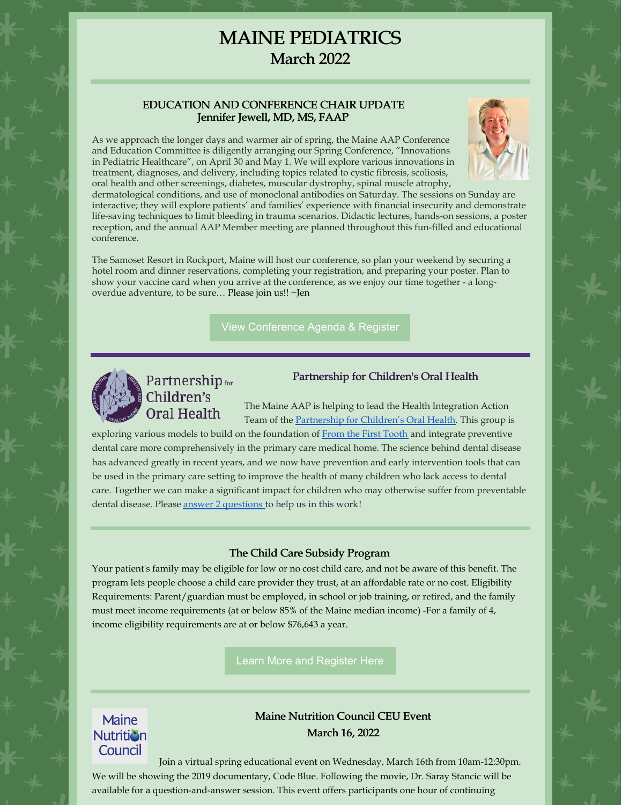## MAINE PEDIATRICS March 2022

#### EDUCATION AND CONFERENCE CHAIR UPDATE Jennifer Jewell, MD, MS, FAAP



As we approach the longer days and warmer air of spring, the Maine AAP Conference and Education Committee is diligently arranging our Spring Conference, "Innovations in Pediatric Healthcare", on April 30 and May 1. We will explore various innovations in treatment, diagnoses, and delivery, including topics related to cystic fibrosis, scoliosis, oral health and other screenings, diabetes, muscular dystrophy, spinal muscle atrophy,

dermatological conditions, and use of monoclonal antibodies on Saturday. The sessions on Sunday are interactive; they will explore patients' and families' experience with financial insecurity and demonstrate life-saving techniques to limit bleeding in trauma scenarios. Didactic lectures, hands-on sessions, a poster reception, and the annual AAP Member meeting are planned throughout this fun-filled and educational conference.

The Samoset Resort in Rockport, Maine will host our conference, so plan your weekend by securing a hotel room and dinner reservations, completing your registration, and preparing your poster. Plan to show your vaccine card when you arrive at the conference, as we enjoy our time together - a longoverdue adventure, to be sure… Please join us!! ~Jen

View [Conference](https://www.maineaap.org/education/maine-aap-spring-2022-cme-conference) Agenda & Register



# Partnership<sub>for</sub><br>Children's **Oral Health**

### Partnership for Children's Oral Health

The Maine AAP is helping to lead the Health Integration Action Team of the [Partnership](https://mainepcoh.org/) for Children's Oral Health. This group is

exploring various models to build on the foundation of From the First [Tooth](https://www.fromthefirsttooth.org/by-state/maine/) and integrate preventive dental care more comprehensively in the primary care medical home. The science behind dental disease has advanced greatly in recent years, and we now have prevention and early intervention tools that can be used in the primary care setting to improve the health of many children who lack access to dental care. Together we can make a significant impact for children who may otherwise suffer from preventable dental disease. Please answer 2 [questions](https://www.surveymonkey.com/r/DentalSurvey_2021) to help us in this work!

#### The Child Care Subsidy Program

Your patient's family may be eligible for low or no cost child care, and not be aware of this benefit. The program lets people choose a child care provider they trust, at an affordable rate or no cost. Eligibility Requirements: Parent/guardian must be employed, in school or job training, or retired, and the family must meet income requirements (at or below 85% of the Maine median income) -For a family of 4, income eligibility requirements are at or below \$76,643 a year.

Learn More and [Register](http://bit.ly/MaineCCSP) Here



## Maine Nutrition Council CEU Event March 16, 2022

Join a virtual spring educational event on Wednesday, March 16th from 10am-12:30pm. We will be showing the 2019 documentary, Code Blue. Following the movie, Dr. Saray Stancic will be available for a question-and-answer session. This event offers participants one hour of continuing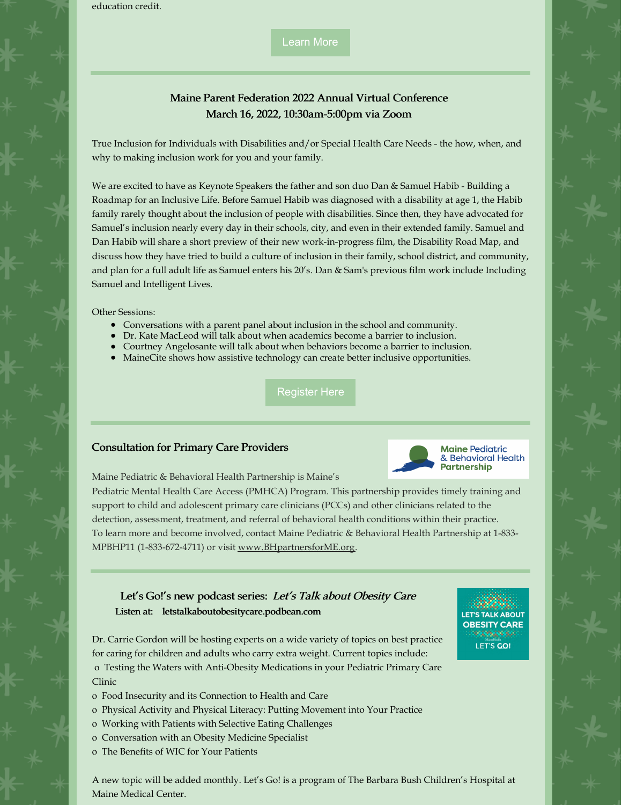education credit.

[Learn](http://mainenutritioncouncil.org) More

## Maine Parent Federation 2022 Annual Virtual Conference March 16, 2022, 10:30am-5:00pm via Zoom

True Inclusion for Individuals with Disabilities and/or Special Health Care Needs - the how, when, and why to making inclusion work for you and your family.

We are excited to have as Keynote Speakers the father and son duo Dan & Samuel Habib - Building a Roadmap for an Inclusive Life. Before Samuel Habib was diagnosed with a disability at age 1, the Habib family rarely thought about the inclusion of people with disabilities. Since then, they have advocated for Samuel's inclusion nearly every day in their schools, city, and even in their extended family. Samuel and Dan Habib will share a short preview of their new work-in-progress film, the Disability Road Map, and discuss how they have tried to build a culture of inclusion in their family, school district, and community, and plan for a full adult life as Samuel enters his 20's. Dan & Sam's previous film work include Including Samuel and Intelligent Lives.

Other Sessions:

- Conversations with a parent panel about inclusion in the school and community.
- Dr. Kate MacLeod will talk about when academics become a barrier to inclusion.
- Courtney Angelosante will talk about when behaviors become a barrier to inclusion.
- MaineCite shows how assistive technology can create better inclusive opportunities.

[Register](https://www.mpf.org/2022-virtual-annual-conference/) Here

#### Consultation for Primary Care Providers



Maine Pediatric & Behavioral Health Partnership is Maine's

Pediatric Mental Health Care Access (PMHCA) Program. This partnership provides timely training and support to child and adolescent primary care clinicians (PCCs) and other clinicians related to the detection, assessment, treatment, and referral of behavioral health conditions within their practice. To learn more and become involved, contact Maine Pediatric & Behavioral Health Partnership at 1-833- MPBHP11 (1-833-672-4711) or visit [www.BHpartnersforME.org](http://www.bhpartnersforme.org/).

#### Let's Go!'s new podcast series: Let's Talk about Obesity Care Listen at: letstalkaboutobesitycare.podbean.com

Dr. Carrie Gordon will be hosting experts on a wide variety of topics on best practice for caring for children and adults who carry extra weight. Current topics include:

o Testing the Waters with Anti-Obesity Medications in your Pediatric Primary Care Clinic

- o Food Insecurity and its Connection to Health and Care
- o Physical Activity and Physical Literacy: Putting Movement into Your Practice
- o Working with Patients with Selective Eating Challenges
- o Conversation with an Obesity Medicine Specialist
- o The Benefits of WIC for Your Patients

A new topic will be added monthly. Let's Go! is a program of The Barbara Bush Children's Hospital at Maine Medical Center.

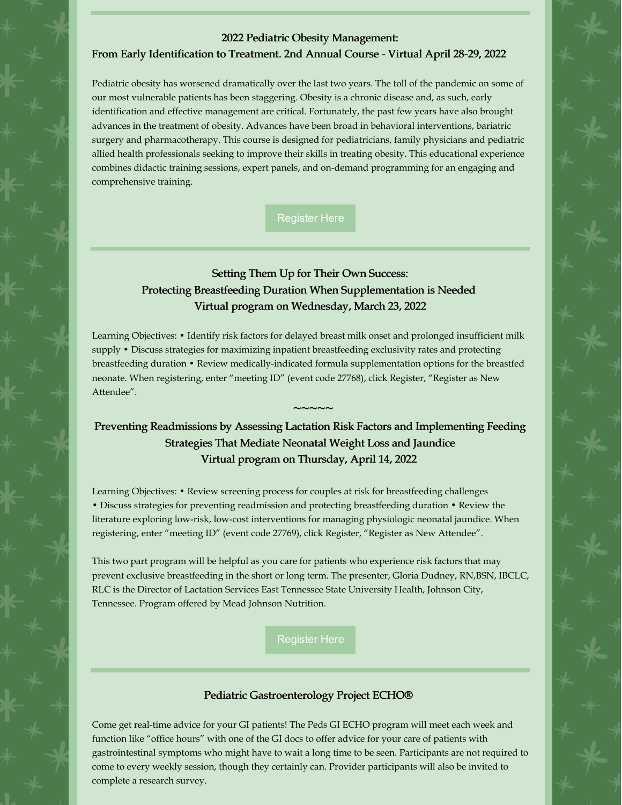#### 2022 Pediatric Obesity Management:

#### From Early Identification to Treatment. 2nd Annual Course - Virtual April 28-29, 2022

Pediatric obesity has worsened dramatically over the last two years. The toll of the pandemic on some of our most vulnerable patients has been staggering. Obesity is a chronic disease and, as such, early identification and effective management are critical. Fortunately, the past few years have also brought advances in the treatment of obesity. Advances have been broad in behavioral interventions, bariatric surgery and pharmacotherapy. This course is designed for pediatricians, family physicians and pediatric allied health professionals seeking to improve their skills in treating obesity. This educational experience combines didactic training sessions, expert panels, and on-demand programming for an engaging and comprehensive training.

[Register](https://shop.aap.org/2022-pediatric-obesity-course-from-early-identification-to-treatment/) Here

## Setting Them Up for Their Own Success: Protecting Breastfeeding Duration When Supplementation is Needed Virtual program on Wednesday, March 23, 2022

Learning Objectives: • Identify risk factors for delayed breast milk onset and prolonged insufficient milk supply • Discuss strategies for maximizing inpatient breastfeeding exclusivity rates and protecting breastfeeding duration • Review medically-indicated formula supplementation options for the breastfed neonate. When registering, enter "meeting ID" (event code 27768), click Register, "Register as New Attendee".

## Preventing Readmissions by Assessing Lactation Risk Factors and Implementing Feeding Strategies That Mediate Neonatal Weight Loss and Jaundice Virtual program on Thursday, April 14, 2022

 $\sim$   $\sim$   $\sim$   $\sim$ 

Learning Objectives: • Review screening process for couples at risk for breastfeeding challenges • Discuss strategies for preventing readmission and protecting breastfeeding duration • Review the literature exploring low-risk, low-cost interventions for managing physiologic neonatal jaundice. When registering, enter "meeting ID" (event code 27769), click Register, "Register as New Attendee".

This two part program will be helpful as you care for patients who experience risk factors that may prevent exclusive breastfeeding in the short or long term. The presenter, Gloria Dudney, RN,BSN, IBCLC, RLC is the Director of Lactation Services East Tennessee State University Health, Johnson City, Tennessee. Program offered by Mead Johnson Nutrition.

[Register](http://mjnportal.com/registration) Here

#### Pediatric Gastroenterology Project ECHO®

Come get real-time advice for your GI patients! The Peds GI ECHO program will meet each week and function like "office hours" with one of the GI docs to offer advice for your care of patients with gastrointestinal symptoms who might have to wait a long time to be seen. Participants are not required to come to every weekly session, though they certainly can. Provider participants will also be invited to complete a research survey.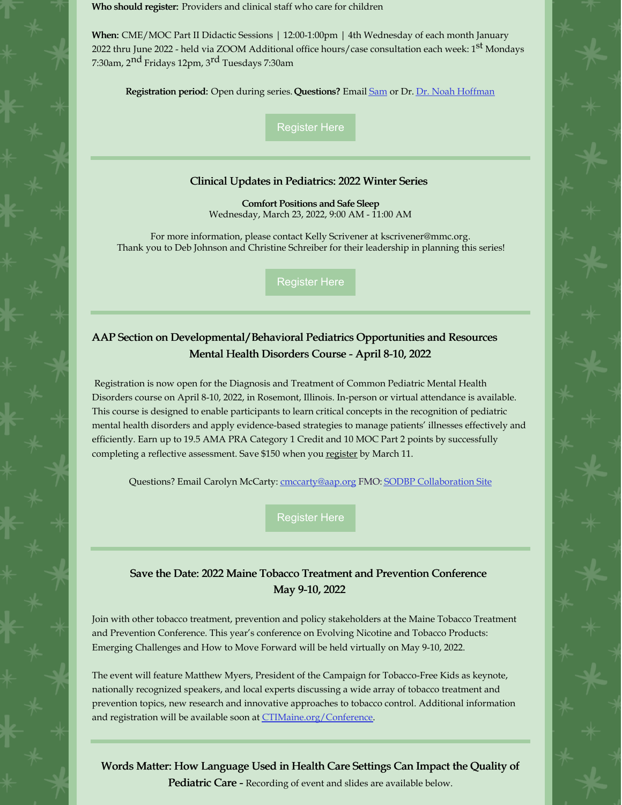Who should register: Providers and clinical staff who care for children

When: CME/MOC Part II Didactic Sessions | 12:00-1:00pm | 4th Wednesday of each month January 2022 thru June 2022 - held via ZOOM Additional office hours/case consultation each week: 1<sup>st</sup> Mondays 7:30am, 2<sup>nd</sup> Fridays 12pm, 3<sup>rd</sup> Tuesdays 7:30am

Registration period: Open during series. Questions? Email [Sam](mailto:Samantha E. Piro %3cSPiro@mainehealth.org%3e) or Dr. Dr. Noah [Hoffman](mailto:Noah Hoffman %3cNHoffman1@mmc.org%3e)

[Register](https://app.smartsheet.com/b/form/fa6bbc437fc847cabd3769826e0d0038) Here

#### Clinical Updates in Pediatrics: 2022 Winter Series

Comfort [Positions](https://mainehealth.cloud-cme.com/default.aspx?P=0&EID=79338) and Safe Sleep Wednesday, March 23, 2022, 9:00 AM - 11:00 AM

For more information, please contact Kelly Scrivener at [kscrivener@mmc.org](mailto:kscrivener@mmc.org). Thank you to Deb Johnson and Christine Schreiber for their leadership in planning this series!

[Register](https://mainehealth.cloud-cme.com/default.aspx) Here

## AAP Section on Developmental/Behavioral Pediatrics Opportunities and Resources Mental Health Disorders Course - April 8-10, 2022

Registration is now open for the Diagnosis and Treatment of Common Pediatric Mental Health Disorders course on April 8-10, 2022, in Rosemont, Illinois. In-person or virtual attendance is available. This course is designed to enable participants to learn critical concepts in the recognition of pediatric mental health disorders and apply evidence-based strategies to manage patients' illnesses effectively and efficiently. Earn up to 19.5 AMA PRA Category 1 Credit and 10 MOC Part 2 points by successfully completing a reflective assessment. Save \$150 when you [register](https://shop.aap.org/2022-diagnosis-and-treatment-of-common-pediatric-mental-health-disorders-rosemont-il-all-access/) by March 11.

Questions? Email Carolyn McCarty: [cmccarty@aap.org](mailto:cmccarty@aap.org?subject=SODBP Opportunities and Resources) FMO: SODBP [Collaboration](https://collaborate.aap.org/SODBP/Pages/home.aspx) Site

[Register](https://shop.aap.org/2022-diagnosis-and-treatment-of-common-pediatric-mental-health-disorders-rosemont-il-all-access/) Here

## Save the Date: 2022 Maine Tobacco Treatment and Prevention Conference May 9-10, 2022

Join with other tobacco treatment, prevention and policy stakeholders at the Maine Tobacco Treatment and Prevention Conference. This year's conference on Evolving Nicotine and Tobacco Products: Emerging Challenges and How to Move Forward will be held virtually on May 9-10, 2022.

The event will feature Matthew Myers, President of the Campaign for Tobacco-Free Kids as keynote, nationally recognized speakers, and local experts discussing a wide array of tobacco treatment and prevention topics, new research and innovative approaches to tobacco control. Additional information and registration will be available soon at [CTIMaine.org/Conference](http://www.ctimaine.org/conference).

Words Matter: How Language Used in Health Care Settings Can Impact the Quality of Pediatric Care - Recording of event and slides are available below.